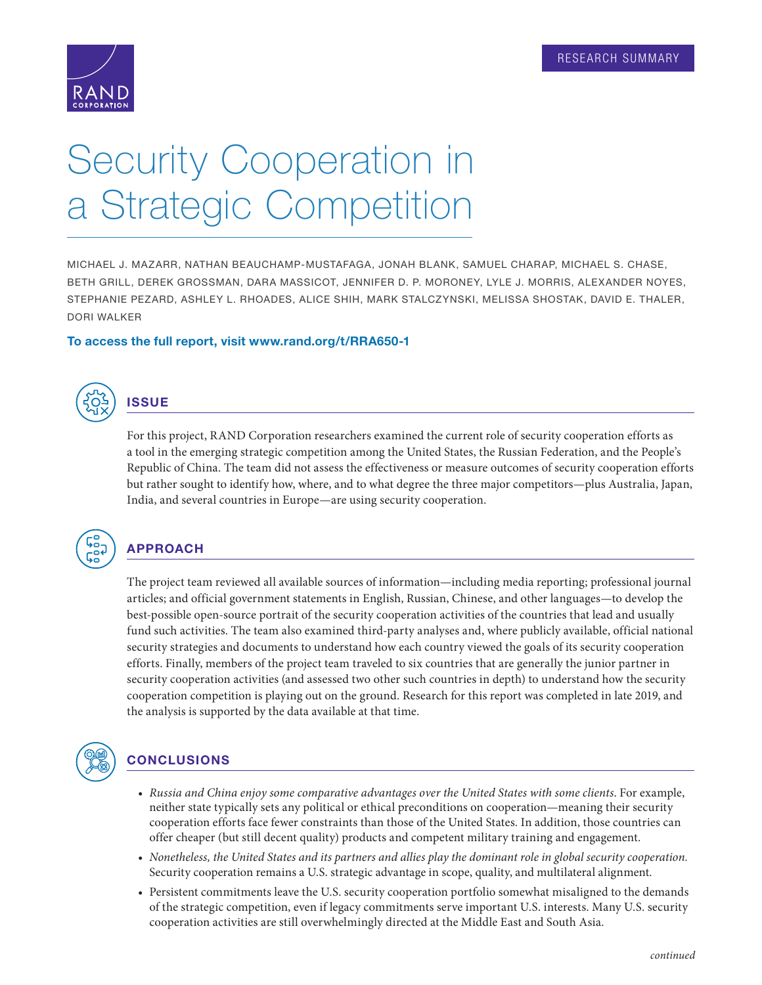

# Security Cooperation in a Strategic Competition

MICHAEL J. MAZARR, NATHAN BEAUCHAMP-MUSTAFAGA, JONAH BLANK, SAMUEL CHARAP, MICHAEL S. CHASE, BETH GRILL, DEREK GROSSMAN, DARA MASSICOT, JENNIFER D. P. MORONEY, LYLE J. MORRIS, ALEXANDER NOYES, STEPHANIE PEZARD, ASHLEY L. RHOADES, ALICE SHIH, MARK STALCZYNSKI, MELISSA SHOSTAK, DAVID E. THALER, DORI WALKER

#### To access the full report, visit [www.rand.org/t/RRA650-1](http://www.rand.org/t/RRA650-1)



## **ISSUE**

For this project, RAND Corporation researchers examined the current role of security cooperation efforts as a tool in the emerging strategic competition among the United States, the Russian Federation, and the People's Republic of China. The team did not assess the effectiveness or measure outcomes of security cooperation efforts but rather sought to identify how, where, and to what degree the three major competitors—plus Australia, Japan, India, and several countries in Europe—are using security cooperation.



#### APPROACH

The project team reviewed all available sources of information—including media reporting; professional journal articles; and official government statements in English, Russian, Chinese, and other languages—to develop the best-possible open-source portrait of the security cooperation activities of the countries that lead and usually fund such activities. The team also examined third-party analyses and, where publicly available, official national security strategies and documents to understand how each country viewed the goals of its security cooperation efforts. Finally, members of the project team traveled to six countries that are generally the junior partner in security cooperation activities (and assessed two other such countries in depth) to understand how the security cooperation competition is playing out on the ground. Research for this report was completed in late 2019, and the analysis is supported by the data available at that time.



### **CONCLUSIONS**

- *Russia and China enjoy some comparative advantages over the United States with some clients*. For example, neither state typically sets any political or ethical preconditions on cooperation—meaning their security cooperation efforts face fewer constraints than those of the United States. In addition, those countries can offer cheaper (but still decent quality) products and competent military training and engagement.
- *Nonetheless, the United States and its partners and allies play the dominant role in global security cooperation.* Security cooperation remains a U.S. strategic advantage in scope, quality, and multilateral alignment.
- Persistent commitments leave the U.S. security cooperation portfolio somewhat misaligned to the demands of the strategic competition, even if legacy commitments serve important U.S. interests. Many U.S. security cooperation activities are still overwhelmingly directed at the Middle East and South Asia.